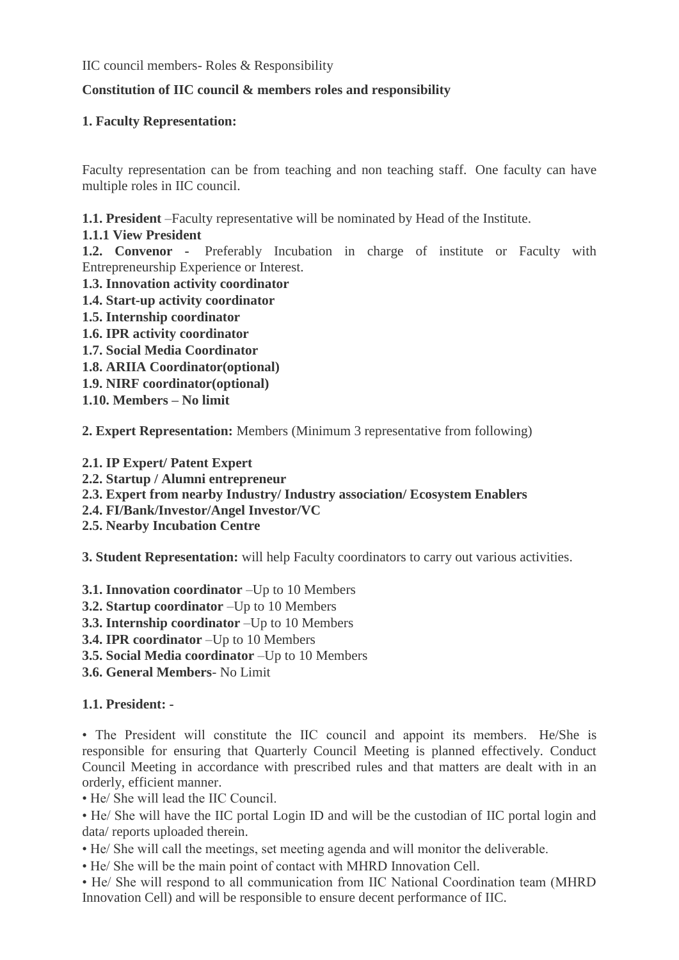IIC council members- Roles & Responsibility

## **Constitution of IIC council & members roles and responsibility**

### **1. Faculty Representation:**

Faculty representation can be from teaching and non teaching staff. One faculty can have multiple roles in IIC council.

**1.1. President** –Faculty representative will be nominated by Head of the Institute.

**1.1.1 View President**

**1.2. Convenor -** Preferably Incubation in charge of institute or Faculty with Entrepreneurship Experience or Interest.

- **1.3. Innovation activity coordinator**
- **1.4. Start-up activity coordinator**
- **1.5. Internship coordinator**
- **1.6. IPR activity coordinator**
- **1.7. Social Media Coordinator**
- **1.8. ARIIA Coordinator(optional)**
- **1.9. NIRF coordinator(optional)**
- **1.10. Members – No limit**

**2. Expert Representation:** Members (Minimum 3 representative from following)

- **2.1. IP Expert/ Patent Expert**
- **2.2. Startup / Alumni entrepreneur**
- **2.3. Expert from nearby Industry/ Industry association/ Ecosystem Enablers**
- **2.4. FI/Bank/Investor/Angel Investor/VC**
- **2.5. Nearby Incubation Centre**

**3. Student Representation:** will help Faculty coordinators to carry out various activities.

- **3.1. Innovation coordinator** –Up to 10 Members
- **3.2. Startup coordinator** –Up to 10 Members
- **3.3. Internship coordinator** –Up to 10 Members
- **3.4. IPR coordinator** –Up to 10 Members
- **3.5. Social Media coordinator** –Up to 10 Members
- **3.6. General Members** No Limit

## **1.1. President: -**

• The President will constitute the IIC council and appoint its members. He/She is responsible for ensuring that Quarterly Council Meeting is planned effectively. Conduct Council Meeting in accordance with prescribed rules and that matters are dealt with in an orderly, efficient manner.

• He/ She will lead the IIC Council.

• He/ She will have the IIC portal Login ID and will be the custodian of IIC portal login and data/ reports uploaded therein.

• He/ She will call the meetings, set meeting agenda and will monitor the deliverable.

• He/ She will be the main point of contact with MHRD Innovation Cell.

• He/ She will respond to all communication from IIC National Coordination team (MHRD Innovation Cell) and will be responsible to ensure decent performance of IIC.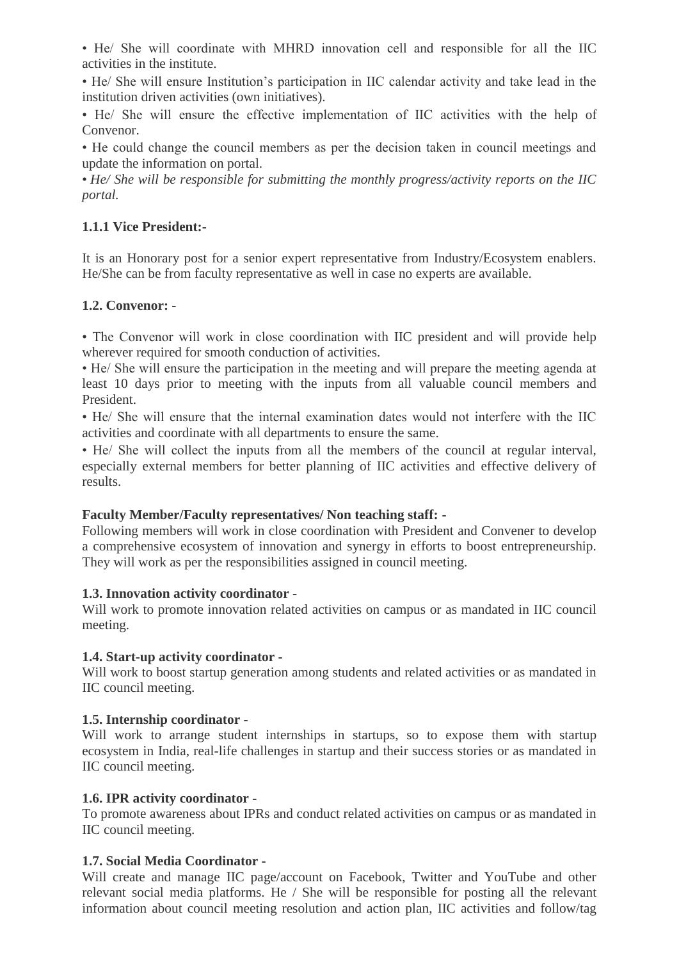• He/ She will coordinate with MHRD innovation cell and responsible for all the IIC activities in the institute.

• He/ She will ensure Institution's participation in IIC calendar activity and take lead in the institution driven activities (own initiatives).

• He/ She will ensure the effective implementation of IIC activities with the help of Convenor.

• He could change the council members as per the decision taken in council meetings and update the information on portal.

• *He/ She will be responsible for submitting the monthly progress/activity reports on the IIC portal.*

## **1.1.1 Vice President:-**

It is an Honorary post for a senior expert representative from Industry/Ecosystem enablers. He/She can be from faculty representative as well in case no experts are available.

#### **1.2. Convenor: -**

• The Convenor will work in close coordination with IIC president and will provide help wherever required for smooth conduction of activities.

• He/ She will ensure the participation in the meeting and will prepare the meeting agenda at least 10 days prior to meeting with the inputs from all valuable council members and President.

• He/ She will ensure that the internal examination dates would not interfere with the IIC activities and coordinate with all departments to ensure the same.

• He/ She will collect the inputs from all the members of the council at regular interval, especially external members for better planning of IIC activities and effective delivery of results.

#### **Faculty Member/Faculty representatives/ Non teaching staff: -**

Following members will work in close coordination with President and Convener to develop a comprehensive ecosystem of innovation and synergy in efforts to boost entrepreneurship. They will work as per the responsibilities assigned in council meeting.

#### **1.3. Innovation activity coordinator -**

Will work to promote innovation related activities on campus or as mandated in IIC council meeting.

#### **1.4. Start-up activity coordinator -**

Will work to boost startup generation among students and related activities or as mandated in IIC council meeting.

#### **1.5. Internship coordinator -**

Will work to arrange student internships in startups, so to expose them with startup ecosystem in India, real-life challenges in startup and their success stories or as mandated in IIC council meeting.

#### **1.6. IPR activity coordinator -**

To promote awareness about IPRs and conduct related activities on campus or as mandated in IIC council meeting.

## **1.7. Social Media Coordinator -**

Will create and manage IIC page/account on Facebook, Twitter and YouTube and other relevant social media platforms. He / She will be responsible for posting all the relevant information about council meeting resolution and action plan, IIC activities and follow/tag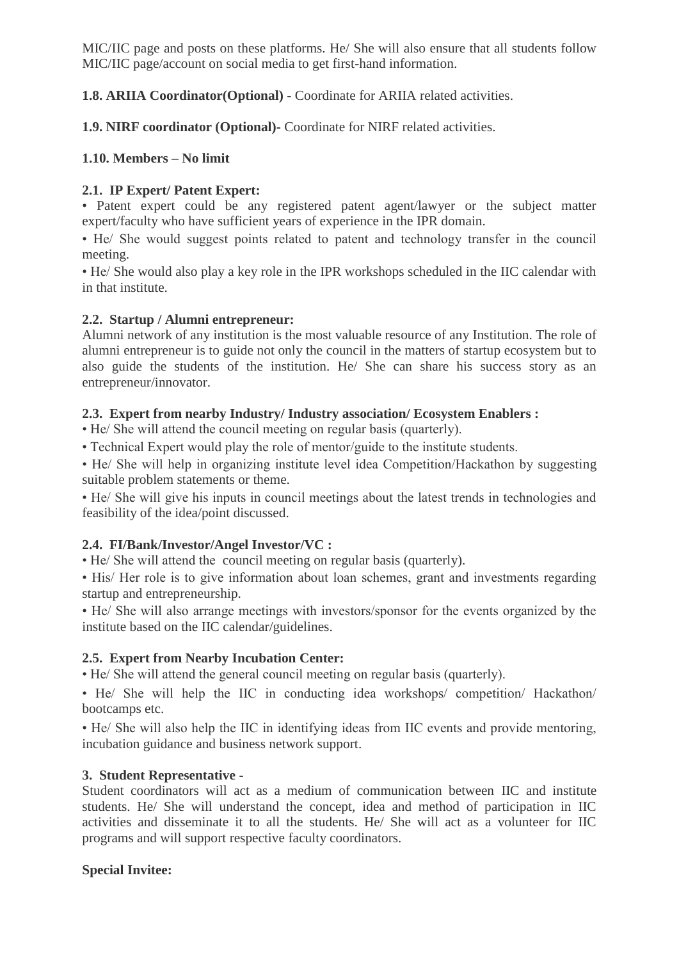MIC/IIC page and posts on these platforms. He/ She will also ensure that all students follow MIC/IIC page/account on social media to get first-hand information.

**1.8. ARIIA Coordinator(Optional) -** Coordinate for ARIIA related activities.

**1.9. NIRF coordinator (Optional)-** Coordinate for NIRF related activities.

## **1.10. Members – No limit**

## **2.1. IP Expert/ Patent Expert:**

• Patent expert could be any registered patent agent/lawyer or the subject matter expert/faculty who have sufficient years of experience in the IPR domain.

• He/ She would suggest points related to patent and technology transfer in the council meeting.

• He/ She would also play a key role in the IPR workshops scheduled in the IIC calendar with in that institute.

## **2.2. Startup / Alumni entrepreneur:**

Alumni network of any institution is the most valuable resource of any Institution. The role of alumni entrepreneur is to guide not only the council in the matters of startup ecosystem but to also guide the students of the institution. He/ She can share his success story as an entrepreneur/innovator.

## **2.3. Expert from nearby Industry/ Industry association/ Ecosystem Enablers :**

• He/ She will attend the council meeting on regular basis (quarterly).

• Technical Expert would play the role of mentor/guide to the institute students.

• He/ She will help in organizing institute level idea Competition/Hackathon by suggesting suitable problem statements or theme.

• He/ She will give his inputs in council meetings about the latest trends in technologies and feasibility of the idea/point discussed.

# **2.4. FI/Bank/Investor/Angel Investor/VC :**

• He/ She will attend the council meeting on regular basis (quarterly).

• His/ Her role is to give information about loan schemes, grant and investments regarding startup and entrepreneurship.

• He/ She will also arrange meetings with investors/sponsor for the events organized by the institute based on the IIC calendar/guidelines.

# **2.5. Expert from Nearby Incubation Center:**

• He/ She will attend the general council meeting on regular basis (quarterly).

• He/ She will help the IIC in conducting idea workshops/ competition/ Hackathon/ bootcamps etc.

• He/ She will also help the IIC in identifying ideas from IIC events and provide mentoring, incubation guidance and business network support.

# **3. Student Representative -**

Student coordinators will act as a medium of communication between IIC and institute students. He/ She will understand the concept, idea and method of participation in IIC activities and disseminate it to all the students. He/ She will act as a volunteer for IIC programs and will support respective faculty coordinators.

# **Special Invitee:**